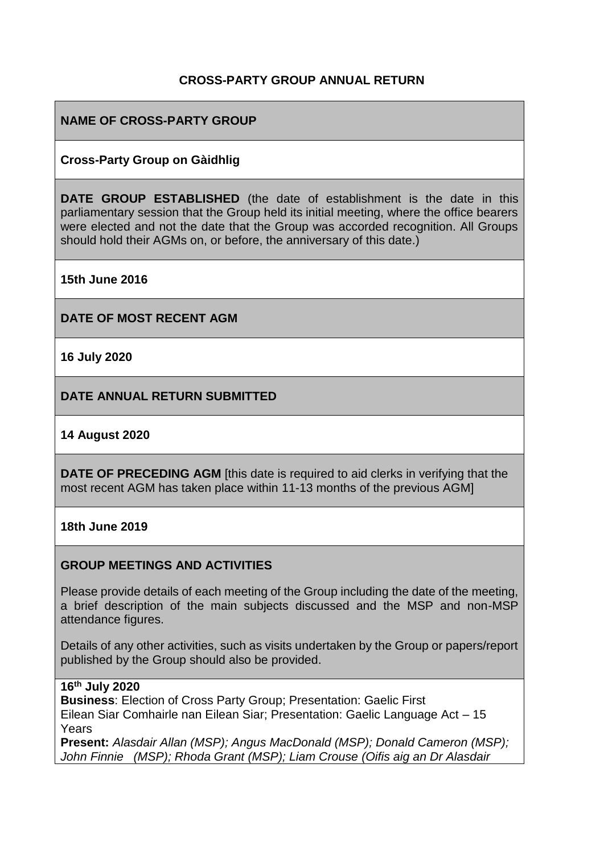## **CROSS-PARTY GROUP ANNUAL RETURN**

## **NAME OF CROSS-PARTY GROUP**

### **Cross-Party Group on Gàidhlig**

**DATE GROUP ESTABLISHED** (the date of establishment is the date in this parliamentary session that the Group held its initial meeting, where the office bearers were elected and not the date that the Group was accorded recognition. All Groups should hold their AGMs on, or before, the anniversary of this date.)

**15th June 2016**

**DATE OF MOST RECENT AGM**

**16 July 2020**

**DATE ANNUAL RETURN SUBMITTED**

### **14 August 2020**

**DATE OF PRECEDING AGM** [this date is required to aid clerks in verifying that the most recent AGM has taken place within 11-13 months of the previous AGM]

#### **18th June 2019**

### **GROUP MEETINGS AND ACTIVITIES**

Please provide details of each meeting of the Group including the date of the meeting, a brief description of the main subjects discussed and the MSP and non-MSP attendance figures.

Details of any other activities, such as visits undertaken by the Group or papers/report published by the Group should also be provided.

## **16th July 2020**

**Business**: Election of Cross Party Group; Presentation: Gaelic First Eilean Siar Comhairle nan Eilean Siar; Presentation: Gaelic Language Act – 15 Years

**Present:** *Alasdair Allan (MSP); Angus MacDonald (MSP); Donald Cameron (MSP); John Finnie (MSP); Rhoda Grant (MSP); Liam Crouse (Oifis aig an Dr Alasdair*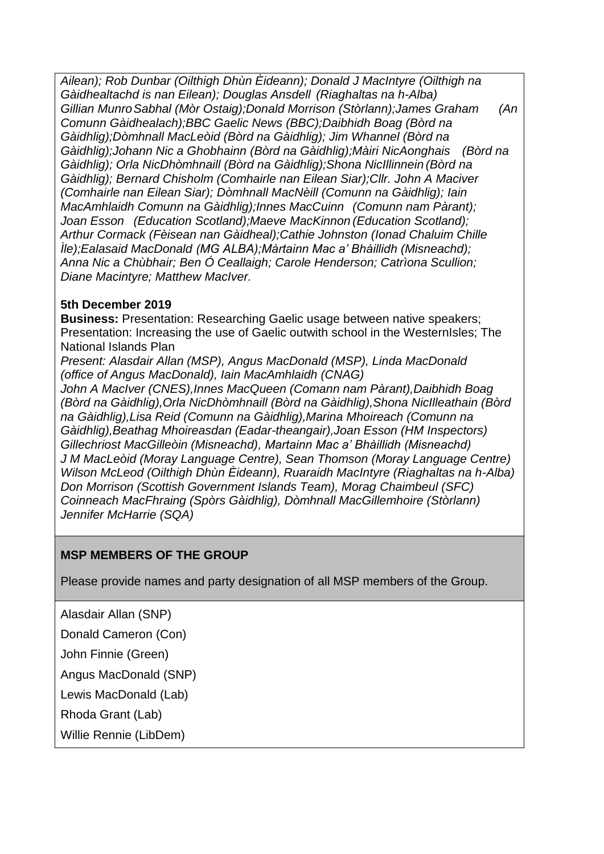*Ailean); Rob Dunbar (Oilthigh Dhùn Èideann); Donald J MacIntyre (Oilthigh na Gàidhealtachd is nan Eilean); Douglas Ansdell (Riaghaltas na h-Alba) Gillian MunroSabhal (Mòr Ostaig);Donald Morrison (Stòrlann);James Graham (An Comunn Gàidhealach);BBC Gaelic News (BBC);Daibhidh Boag (Bòrd na Gàidhlig);Dòmhnall MacLeòid (Bòrd na Gàidhlig); Jim Whannel (Bòrd na Gàidhlig);Johann Nic a Ghobhainn (Bòrd na Gàidhlig);Màiri NicAonghais (Bòrd na Gàidhlig); Orla NicDhòmhnaill (Bòrd na Gàidhlig);Shona NicIllinnein (Bòrd na Gàidhlig); Bernard Chisholm (Comhairle nan Eilean Siar);Cllr. John A Maciver (Comhairle nan Eilean Siar); Dòmhnall MacNèill (Comunn na Gàidhlig); Iain MacAmhlaidh Comunn na Gàidhlig);Innes MacCuinn (Comunn nam Pàrant); Joan Esson (Education Scotland);Maeve MacKinnon (Education Scotland); Arthur Cormack (Fèisean nan Gàidheal);Cathie Johnston (Ionad Chaluim Chille Ìle);Ealasaid MacDonald (MG ALBA);Màrtainn Mac a' Bhàillidh (Misneachd); Anna Nic a Chùbhair; Ben Ó Ceallaigh; Carole Henderson; Catrìona Scullion; Diane Macintyre; Matthew MacIver.*

# **5th December 2019**

**Business:** Presentation: Researching Gaelic usage between native speakers; Presentation: Increasing the use of Gaelic outwith school in the WesternIsles; The National Islands Plan

*Present: Alasdair Allan (MSP), Angus MacDonald (MSP), Linda MacDonald (office of Angus MacDonald), Iain MacAmhlaidh (CNAG)*

*John A MacIver (CNES),Innes MacQueen (Comann nam Pàrant),Daibhidh Boag (Bòrd na Gàidhlig),Orla NicDhòmhnaill (Bòrd na Gàidhlig),Shona NicIlleathain (Bòrd na Gàidhlig),Lisa Reid (Comunn na Gàidhlig),Marina Mhoireach (Comunn na Gàidhlig),Beathag Mhoireasdan (Eadar-theangair),Joan Esson (HM Inspectors) Gillechriost MacGilleòin (Misneachd), Martainn Mac a' Bhàillidh (Misneachd) J M MacLeòid (Moray Language Centre), Sean Thomson (Moray Language Centre) Wilson McLeod (Oilthigh Dhùn Èideann), Ruaraidh MacIntyre (Riaghaltas na h-Alba) Don Morrison (Scottish Government Islands Team), Morag Chaimbeul (SFC) Coinneach MacFhraing (Spòrs Gàidhlig), Dòmhnall MacGillemhoire (Stòrlann) Jennifer McHarrie (SQA)*

# **MSP MEMBERS OF THE GROUP**

Please provide names and party designation of all MSP members of the Group.

Alasdair Allan (SNP)

Donald Cameron (Con)

John Finnie (Green)

Angus MacDonald (SNP)

Lewis MacDonald (Lab)

Rhoda Grant (Lab)

Willie Rennie (LibDem)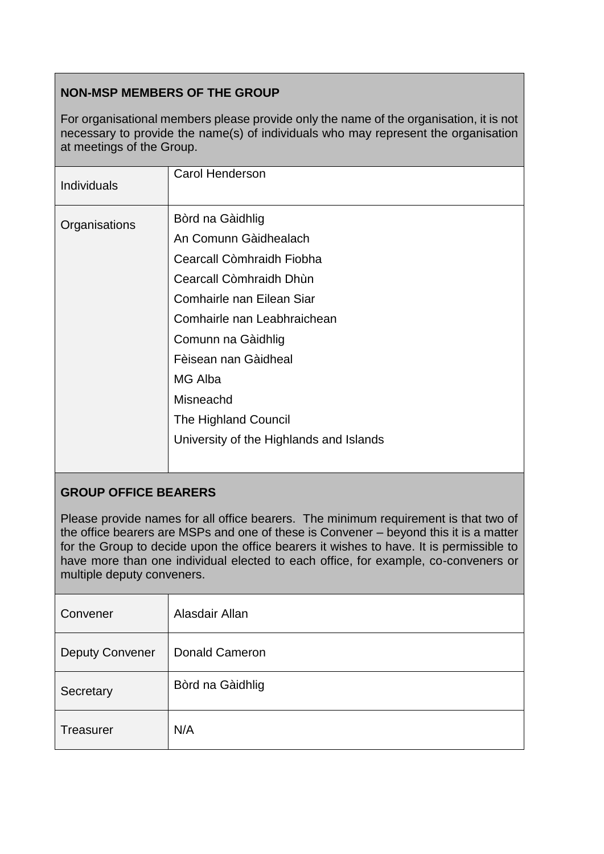# **NON-MSP MEMBERS OF THE GROUP**

For organisational members please provide only the name of the organisation, it is not necessary to provide the name(s) of individuals who may represent the organisation at meetings of the Group.

| <b>Carol Henderson</b><br><b>Individuals</b>                                                                                                                                                                     |                                                                                                     |
|------------------------------------------------------------------------------------------------------------------------------------------------------------------------------------------------------------------|-----------------------------------------------------------------------------------------------------|
| Bòrd na Gàidhlig<br>Organisations<br>An Comunn Gàidhealach<br>Cearcall Còmhraidh Dhùn<br>Comhairle nan Eilean Siar<br>Comunn na Gàidhlig<br>Fèisean nan Gàidheal<br>MG Alba<br>Misneachd<br>The Highland Council | Cearcall Còmhraidh Fiobha<br>Comhairle nan Leabhraichean<br>University of the Highlands and Islands |

## **GROUP OFFICE BEARERS**

Please provide names for all office bearers. The minimum requirement is that two of the office bearers are MSPs and one of these is Convener – beyond this it is a matter for the Group to decide upon the office bearers it wishes to have. It is permissible to have more than one individual elected to each office, for example, co-conveners or multiple deputy conveners.

| Convener               | Alasdair Allan        |
|------------------------|-----------------------|
| <b>Deputy Convener</b> | <b>Donald Cameron</b> |
| Secretary              | Bòrd na Gàidhlig      |
| Treasurer              | N/A                   |